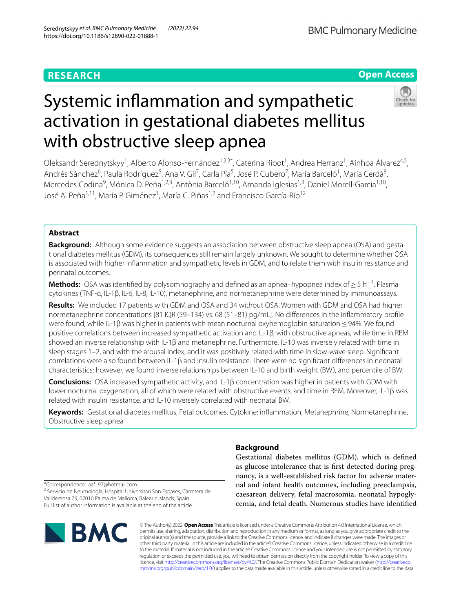# **Open Access**

# Systemic infammation and sympathetic activation in gestational diabetes mellitus with obstructive sleep apnea

Oleksandr Serednytskyy<sup>1</sup>, Alberto Alonso-Fernández<sup>1,2,3\*</sup>, Caterina Ribot<sup>1</sup>, Andrea Herranz<sup>1</sup>, Ainhoa Álvarez<sup>4,5</sup>, Andrés Sánchez<sup>6</sup>, Paula Rodríguez<sup>5</sup>, Ana V. Gil<sup>7</sup>, Carla Pía<sup>5</sup>, José P. Cubero<sup>7</sup>, María Barceló<sup>1</sup>, María Cerdà<sup>8</sup>, Mercedes Codina<sup>9</sup>, Mónica D. Peña<sup>1,2,3</sup>, Antònia Barceló<sup>1,10</sup>, Amanda Iglesias<sup>1,3</sup>, Daniel Morell-Garcia<sup>1,10</sup>, José A. Peña<sup>1,11</sup>, María P. Giménez<sup>1</sup>, María C. Piñas<sup>1,2</sup> and Francisco García-Río<sup>12</sup>

# **Abstract**

**Background:** Although some evidence suggests an association between obstructive sleep apnea (OSA) and gestational diabetes mellitus (GDM), its consequences still remain largely unknown. We sought to determine whether OSA is associated with higher infammation and sympathetic levels in GDM, and to relate them with insulin resistance and perinatal outcomes.

**Methods:** OSA was identified by polysomnography and defined as an apnea–hypopnea index of ≥ 5 h<sup>−1</sup>. Plasma cytokines (TNF-α, IL-1β, IL-6, IL-8, IL-10), metanephrine, and normetanephrine were determined by immunoassays.

**Results:** We included 17 patients with GDM and OSA and 34 without OSA. Women with GDM and OSA had higher normetanephrine concentrations [81 IQR (59–134) vs. 68 (51–81) pg/mL]. No diferences in the infammatory profle were found, while IL-1β was higher in patients with mean nocturnal oxyhemoglobin saturation <94%. We found positive correlations between increased sympathetic activation and IL-1β, with obstructive apneas, while time in REM showed an inverse relationship with IL-1β and metanephrine. Furthermore, IL-10 was inversely related with time in sleep stages 1–2, and with the arousal index, and it was positively related with time in slow-wave sleep. Signifcant correlations were also found between IL-1β and insulin resistance. There were no signifcant diferences in neonatal characteristics; however, we found inverse relationships between IL-10 and birth weight (BW), and percentile of BW.

**Conclusions:** OSA increased sympathetic activity, and IL-1β concentration was higher in patients with GDM with lower nocturnal oxygenation, all of which were related with obstructive events, and time in REM. Moreover, IL-1β was related with insulin resistance, and IL-10 inversely correlated with neonatal BW.

**Keywords:** Gestational diabetes mellitus, Fetal outcomes, Cytokine; infammation, Metanephrine, Normetanephrine, Obstructive sleep apnea

# **Background**

Gestational diabetes mellitus (GDM), which is defned as glucose intolerance that is frst detected during pregnancy, is a well-established risk factor for adverse maternal and infant health outcomes, including preeclampsia, caesarean delivery, fetal macrosomia, neonatal hypoglycemia, and fetal death. Numerous studies have identifed

\*Correspondence: aaf\_97@hotmail.com

<sup>2</sup> Servicio de Neumología, Hospital Universitari Son Espases, Carretera de Valldemosa 79, 07010 Palma de Mallorca, Balearic Islands, Spain Full list of author information is available at the end of the article



© The Author(s) 2022. **Open Access** This article is licensed under a Creative Commons Attribution 4.0 International License, which permits use, sharing, adaptation, distribution and reproduction in any medium or format, as long as you give appropriate credit to the original author(s) and the source, provide a link to the Creative Commons licence, and indicate if changes were made. The images or other third party material in this article are included in the article's Creative Commons licence, unless indicated otherwise in a credit line to the material. If material is not included in the article's Creative Commons licence and your intended use is not permitted by statutory regulation or exceeds the permitted use, you will need to obtain permission directly from the copyright holder. To view a copy of this licence, visit [http://creativecommons.org/licenses/by/4.0/.](http://creativecommons.org/licenses/by/4.0/) The Creative Commons Public Domain Dedication waiver ([http://creativeco](http://creativecommons.org/publicdomain/zero/1.0/) [mmons.org/publicdomain/zero/1.0/](http://creativecommons.org/publicdomain/zero/1.0/)) applies to the data made available in this article, unless otherwise stated in a credit line to the data.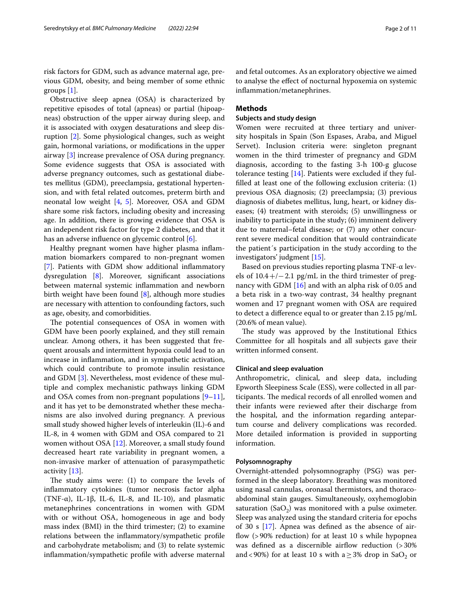risk factors for GDM, such as advance maternal age, previous GDM, obesity, and being member of some ethnic groups [\[1](#page-9-0)].

Obstructive sleep apnea (OSA) is characterized by repetitive episodes of total (apneas) or partial (hipoapneas) obstruction of the upper airway during sleep, and it is associated with oxygen desaturations and sleep disruption [\[2](#page-9-1)]. Some physiological changes, such as weight gain, hormonal variations, or modifcations in the upper airway [[3](#page-9-2)] increase prevalence of OSA during pregnancy. Some evidence suggests that OSA is associated with adverse pregnancy outcomes, such as gestational diabetes mellitus (GDM), preeclampsia, gestational hypertension, and with fetal related outcomes, preterm birth and neonatal low weight [\[4](#page-9-3), [5\]](#page-9-4). Moreover, OSA and GDM share some risk factors, including obesity and increasing age. In addition, there is growing evidence that OSA is an independent risk factor for type 2 diabetes, and that it has an adverse infuence on glycemic control [\[6](#page-9-5)].

Healthy pregnant women have higher plasma infammation biomarkers compared to non-pregnant women [[7\]](#page-9-6). Patients with GDM show additional inflammatory dysregulation [\[8](#page-10-0)]. Moreover, signifcant associations between maternal systemic infammation and newborn birth weight have been found [[8\]](#page-10-0), although more studies are necessary with attention to confounding factors, such as age, obesity, and comorbidities.

The potential consequences of OSA in women with GDM have been poorly explained, and they still remain unclear. Among others, it has been suggested that frequent arousals and intermittent hypoxia could lead to an increase in infammation, and in sympathetic activation, which could contribute to promote insulin resistance and GDM [[3\]](#page-9-2). Nevertheless, most evidence of these multiple and complex mechanistic pathways linking GDM and OSA comes from non-pregnant populations  $[9-11]$  $[9-11]$ , and it has yet to be demonstrated whether these mechanisms are also involved during pregnancy. A previous small study showed higher levels of interleukin (IL)-6 and IL-8, in 4 women with GDM and OSA compared to 21 women without OSA [\[12\]](#page-10-3). Moreover, a small study found decreased heart rate variability in pregnant women, a non-invasive marker of attenuation of parasympathetic activity [\[13\]](#page-10-4).

The study aims were:  $(1)$  to compare the levels of infammatory cytokines (tumor necrosis factor alpha (TNF- $\alpha$ ), IL-1 $\beta$ , IL-6, IL-8, and IL-10), and plasmatic metanephrines concentrations in women with GDM with or without OSA, homogeneous in age and body mass index (BMI) in the third trimester; (2) to examine relations between the infammatory/sympathetic profle and carbohydrate metabolism; and (3) to relate systemic infammation/sympathetic profle with adverse maternal and fetal outcomes. As an exploratory objective we aimed to analyse the efect of nocturnal hypoxemia on systemic infammation/metanephrines.

# **Methods**

# **Subjects and study design**

Women were recruited at three tertiary and university hospitals in Spain (Son Espases, Araba, and Miguel Servet). Inclusion criteria were: singleton pregnant women in the third trimester of pregnancy and GDM diagnosis, according to the fasting 3-h 100-g glucose tolerance testing [\[14](#page-10-5)]. Patients were excluded if they fulflled at least one of the following exclusion criteria: (1) previous OSA diagnosis; (2) preeclampsia; (3) previous diagnosis of diabetes mellitus, lung, heart, or kidney diseases; (4) treatment with steroids; (5) unwillingness or inability to participate in the study; (6) imminent delivery due to maternal–fetal disease; or (7) any other concurrent severe medical condition that would contraindicate the patient´s participation in the study according to the investigators' judgment [\[15](#page-10-6)].

Based on previous studies reporting plasma TNF-α levels of  $10.4+/-2.1$  pg/mL in the third trimester of pregnancy with GDM [[16](#page-10-7)] and with an alpha risk of 0.05 and a beta risk in a two-way contrast, 34 healthy pregnant women and 17 pregnant women with OSA are required to detect a diference equal to or greater than 2.15 pg/mL (20.6% of mean value).

The study was approved by the Institutional Ethics Committee for all hospitals and all subjects gave their written informed consent.

# **Clinical and sleep evaluation**

Anthropometric, clinical, and sleep data, including Epworth Sleepiness Scale (ESS), were collected in all participants. The medical records of all enrolled women and their infants were reviewed after their discharge from the hospital, and the information regarding antepartum course and delivery complications was recorded. More detailed information is provided in supporting information.

# **Polysomnography**

Overnight-attended polysomnography (PSG) was performed in the sleep laboratory. Breathing was monitored using nasal cannulas, oronasal thermistors, and thoracoabdominal stain gauges. Simultaneously, oxyhemoglobin saturation (SaO<sub>2</sub>) was monitored with a pulse oximeter. Sleep was analyzed using the standard criteria for epochs of 30 s  $[17]$ . Apnea was defined as the absence of airflow (>90% reduction) for at least 10 s while hypopnea was defined as a discernible airflow reduction (>30%) and <90%) for at least 10 s with a  $\geq$  3% drop in SaO<sub>2</sub> or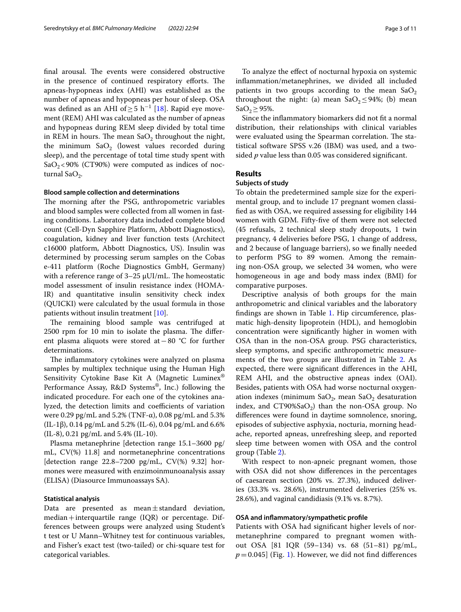final arousal. The events were considered obstructive in the presence of continued respiratory efforts. The apneas-hypopneas index (AHI) was established as the number of apneas and hypopneas per hour of sleep. OSA was defined as an AHI of  $\geq 5$  h<sup>-1</sup> [\[18\]](#page-10-9). Rapid eye movement (REM) AHI was calculated as the number of apneas and hypopneas during REM sleep divided by total time in REM in hours. The mean  $SaO_2$  throughout the night, the minimum  $SaO<sub>2</sub>$  (lowest values recorded during sleep), and the percentage of total time study spent with  $SaO<sub>2</sub>$ <90% (CT90%) were computed as indices of nocturnal Sa $O_2$ .

# **Blood sample collection and determinations**

The morning after the PSG, anthropometric variables and blood samples were collected from all women in fasting conditions. Laboratory data included complete blood count (Cell-Dyn Sapphire Platform, Abbott Diagnostics), coagulation, kidney and liver function tests (Architect c16000 platform, Abbott Diagnostics, US). Insulin was determined by processing serum samples on the Cobas e-411 platform (Roche Diagnostics GmbH, Germany) with a reference range of  $3-25 \mu$ UI/mL. The homeostatic model assessment of insulin resistance index (HOMA-IR) and quantitative insulin sensitivity check index (QUICKI) were calculated by the usual formula in those patients without insulin treatment [[10\]](#page-10-10).

The remaining blood sample was centrifuged at  $2500$  rpm for  $10$  min to isolate the plasma. The different plasma aliquots were stored at−80 °C for further determinations.

The inflammatory cytokines were analyzed on plasma samples by multiplex technique using the Human High Sensitivity Cytokine Base Kit A (Magnetic Luminex® Performance Assay, R&D Systems®, Inc.) following the indicated procedure. For each one of the cytokines analyzed, the detection limits and coefficients of variation were 0.29 pg/mL and 5.2% (TNF-α), 0.08 pg/mL and 5.3% (IL-1β), 0.14 pg/mL and 5.2% (IL-6), 0.04 pg/mL and 6.6% (IL-8), 0.21 pg/mL and 5.4% (IL-10).

Plasma metanephrine [detection range 15.1–3600 pg/ mL, CV(%) 11.8] and normetanephrine concentrations [detection range 22.8–7200 pg/mL, CV(%) 9.32] hormones were measured with enzimoinmunoanalysis assay (ELISA) (Diasource Immunoassays SA).

# **Statistical analysis**

Data are presented as mean $\pm$ standard deviation, median + interquartile range (IQR) or percentage. Differences between groups were analyzed using Student's t test or U Mann–Whitney test for continuous variables, and Fisher's exact test (two-tailed) or chi-square test for categorical variables.

To analyze the efect of nocturnal hypoxia on systemic infammation/metanephrines, we divided all included patients in two groups according to the mean  $SaO<sub>2</sub>$ throughout the night: (a) mean  $SaO<sub>2</sub>$  ≤ 94%; (b) mean SaO<sub>2</sub> $\geq$ 95%.

Since the infammatory biomarkers did not ft a normal distribution, their relationships with clinical variables were evaluated using the Spearman correlation. The statistical software SPSS v.26 (IBM) was used, and a twosided *p* value less than 0.05 was considered signifcant.

# **Results**

# **Subjects of study**

To obtain the predetermined sample size for the experimental group, and to include 17 pregnant women classifed as with OSA, we required assessing for eligibility 144 women with GDM. Fifty-fve of them were not selected (45 refusals, 2 technical sleep study dropouts, 1 twin pregnancy, 4 deliveries before PSG, 1 change of address, and 2 because of language barriers), so we fnally needed to perform PSG to 89 women. Among the remaining non-OSA group, we selected 34 women, who were homogeneous in age and body mass index (BMI) for comparative purposes.

Descriptive analysis of both groups for the main anthropometric and clinical variables and the laboratory fndings are shown in Table [1.](#page-3-0) Hip circumference, plasmatic high-density lipoprotein (HDL), and hemoglobin concentration were signifcantly higher in women with OSA than in the non-OSA group. PSG characteristics, sleep symptoms, and specifc anthropometric measurements of the two groups are illustrated in Table [2](#page-4-0). As expected, there were signifcant diferences in the AHI, REM AHI, and the obstructive apneas index (OAI). Besides, patients with OSA had worse nocturnal oxygenation indexes (minimum SaO<sub>2</sub>, mean SaO<sub>2</sub> desaturation index, and  $CT90\%$ SaO<sub>2</sub>) than the non-OSA group. No diferences were found in daytime somnolence, snoring, episodes of subjective asphyxia, nocturia, morning headache, reported apneas, unrefreshing sleep, and reported sleep time between women with OSA and the control group (Table [2](#page-4-0)).

With respect to non-apneic pregnant women, those with OSA did not show diferences in the percentages of caesarean section (20% vs. 27.3%), induced deliveries (33.3% vs. 28.6%), instrumented deliveries (25% vs. 28.6%), and vaginal candidiasis (9.1% vs. 8.7%).

# **OSA and infammatory/sympathetic profle**

Patients with OSA had signifcant higher levels of normetanephrine compared to pregnant women without OSA [81 IQR (59–134) vs. 68 (51–81) pg/mL,  $p=0.045$  (Fig. [1\)](#page-5-0). However, we did not find differences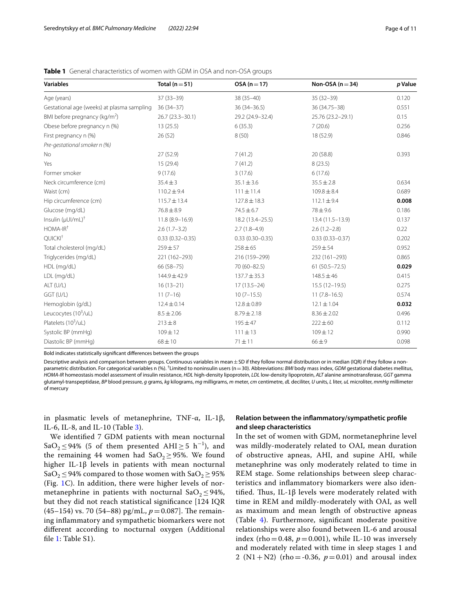| <b>Variables</b>                           | Total $(n=51)$      | OSA $(n=17)$        | Non-OSA ( $n = 34$ ) | p Value |
|--------------------------------------------|---------------------|---------------------|----------------------|---------|
| Age (years)                                | $37(33-39)$         | 38 (35-40)          | $35(32-39)$          | 0.120   |
| Gestational age (weeks) at plasma sampling | $36(34-37)$         | 36 (34 - 36.5)      | 36 (34.75-38)        | 0.551   |
| BMI before pregnancy ( $kg/m2$ )           | 26.7 (23.3-30.1)    | 29.2 (24.9-32.4)    | 25.76 (23.2-29.1)    | 0.15    |
| Obese before pregnancy n (%)               | 13(25.5)            | 6(35.3)             | 7(20.6)              | 0.256   |
| First pregnancy n (%)                      | 26(52)              | 8(50)               | 18 (52.9)            | 0.846   |
| Pre-gestational smoker n (%)               |                     |                     |                      |         |
| <b>No</b>                                  | 27(52.9)            | 7(41.2)             | 20 (58.8)            | 0.393   |
| Yes                                        | 15(29.4)            | 7(41.2)             | 8(23.5)              |         |
| Former smoker                              | 9(17.6)             | 3(17.6)             | 6(17.6)              |         |
| Neck circumference (cm)                    | $35.4 \pm 3$        | $35.1 \pm 3.6$      | $35.5 \pm 2.8$       | 0.634   |
| Waist (cm)                                 | $110.2 \pm 9.4$     | $111 \pm 11.4$      | $109.8 \pm 8.4$      | 0.689   |
| Hip circumference (cm)                     | $115.7 \pm 13.4$    | $127.8 \pm 18.3$    | $112.1 \pm 9.4$      | 0.008   |
| Glucose (mg/dL)                            | $76.8 \pm 8.9$      | $74.5 \pm 6.7$      | $78 + 9.6$           | 0.186   |
| Insulin $(\mu U I/mL)^{\dagger}$           | $11.8(8.9 - 16.9)$  | 18.2 (13.4-25.5)    | 13.4 (11.5-13.9)     | 0.137   |
| $HOMA-IR†$                                 | $2.6(1.7-3.2)$      | $2.7(1.8-4.9)$      | $2.6(1.2 - 2.8)$     | 0.22    |
| QUICKI <sup>+</sup>                        | $0.33(0.32 - 0.35)$ | $0.33(0.30 - 0.35)$ | $0.33(0.33 - 0.37)$  | 0.202   |
| Total cholesterol (mg/dL)                  | $259 + 57$          | $258 \pm 65$        | $259 + 54$           | 0.952   |
| Triglycerides (mg/dL)                      | 221 (162-293)       | 216 (159-299)       | 232 (161-293)        | 0.865   |
| HDL (mg/dL)                                | 66 (58-75)          | 70 (60-82.5)        | $61(50.5 - 72.5)$    | 0.029   |
| LDL (mg/dL)                                | 144.9±42.9          | $137.7 \pm 35.3$    | $148.5 \pm 46$       | 0.415   |
| ALT (U/L)                                  | $16(13-21)$         | $17(13.5-24)$       | $15.5(12-19.5)$      | 0.275   |
| GGT (U/L)                                  | $11(7-16)$          | $10(7-15.5)$        | $11(7.8 - 16.5)$     | 0.574   |
| Hemoglobin (g/dL)                          | $12.4 \pm 0.14$     | $12.8 \pm 0.89$     | $12.1 \pm 1.04$      | 0.032   |
| Leucocytes (10 <sup>3</sup> /uL)           | $8.5 \pm 2.06$      | $8.79 \pm 2.18$     | $8.36 \pm 2.02$      | 0.496   |
| Platelets (10 <sup>3</sup> /uL)            | $213 \pm 8$         | $195 + 47$          | $222 \pm 60$         | 0.112   |
| Systolic BP (mmHg)                         | $109 \pm 12$        | $111 \pm 13$        | $109 \pm 12$         | 0.990   |
| Diastolic BP (mmHq)                        | $68 \pm 10$         | $71 + 11$           | $66 + 9$             | 0.098   |

<span id="page-3-0"></span>**Table 1** General characteristics of women with GDM in OSA and non-OSA groups

Bold indicates statistically signifcant diferences between the groups

Descriptive analysis and comparison between groups. Continuous variables in mean  $\pm$  SD if they follow normal distribution or in median (IQR) if they follow a nonparametric distribution. For categorical variables n (%). <sup>†</sup>Limited to noninsulin users (n=30). Abbreviations: *BMI* body mass index, *GDM* gestational diabetes mellitus, *HOMA-IR* homeostasis model assessment of insulin resistance, *HDL* high-density lipoprotein, *LDL* low-density lipoprotein, *ALT* alanine aminotransferase, *GGT* gamma glutamyl-transpeptidase, BP blood pressure, g grams, kg kilograms, mg milligrams, m meter, cm centimetre, dL deciliter, U units, L liter, uL microliter, mmHq millimeter of mercury

in plasmatic levels of metanephrine, TNF-α, IL-1β, IL-6, IL-8, and IL-10 (Table [3\)](#page-6-0).

We identifed 7 GDM patients with mean nocturnal SaO<sub>2</sub> ≤ 94% (5 of them presented AHI ≥ 5 h<sup>-1</sup>), and the remaining 44 women had  $SaO<sub>2</sub> \ge 95$ %. We found higher IL-1β levels in patients with mean nocturnal SaO<sub>2</sub> ≤ 94% compared to those women with SaO<sub>2</sub> ≥ 95% (Fig. [1C](#page-5-0)). In addition, there were higher levels of normetanephrine in patients with nocturnal  $SaO<sub>2</sub> \leq 94\%$ , but they did not reach statistical signifcance [124 IQR  $(45–154)$  vs. 70 (54–88) pg/mL,  $p = 0.087$ ]. The remaining infammatory and sympathetic biomarkers were not diferent according to nocturnal oxygen (Additional file [1](#page-9-7): Table S1).

# **Relation between the infammatory/sympathetic profle and sleep characteristics**

In the set of women with GDM, normetanephrine level was mildly-moderately related to OAI, mean duration of obstructive apneas, AHI, and supine AHI, while metanephrine was only moderately related to time in REM stage. Some relationships between sleep characteristics and infammatory biomarkers were also identified. Thus, IL-1 $\beta$  levels were moderately related with time in REM and mildly-moderately with OAI, as well as maximum and mean length of obstructive apneas (Table [4\)](#page-6-1). Furthermore, signifcant moderate positive relationships were also found between IL-6 and arousal index (rho=0.48,  $p=0.001$ ), while IL-10 was inversely and moderately related with time in sleep stages 1 and 2 (N1+N2) (rho = -0.36,  $p = 0.01$ ) and arousal index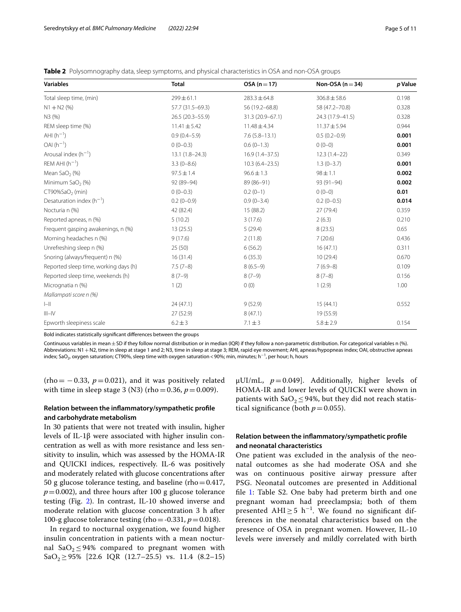<span id="page-4-0"></span>

| Table 2 Polysomnography data, sleep symptoms, and physical characteristics in OSA and non-OSA groups |  |  |  |
|------------------------------------------------------------------------------------------------------|--|--|--|
|------------------------------------------------------------------------------------------------------|--|--|--|

| <b>Variables</b>                      | <b>Total</b>       | $OSA(n=17)$        | Non-OSA $(n=34)$ | p Value |  |
|---------------------------------------|--------------------|--------------------|------------------|---------|--|
| Total sleep time, (min)               | $299 \pm 61.1$     | $283.3 \pm 64.8$   | $306.8 \pm 58.6$ | 0.198   |  |
| $N1 + N2(%)$                          | 57.7 (31.5-69.3)   | 56 (19.2-68.8)     | 58 (47.2-70.8)   | 0.328   |  |
| N3 (%)                                | 26.5 (20.3-55.9)   | 31.3 (20.9-67.1)   | 24.3 (17.9-41.5) | 0.328   |  |
| REM sleep time (%)                    | $11.41 \pm 5.42$   | $11.48 \pm 4.34$   | $11.37 + 5.94$   | 0.944   |  |
| AHI $(h^{-1})$                        | $0.9(0.4 - 5.9)$   | $7.6(5.8-13.1)$    | $0.5(0.2 - 0.9)$ | 0.001   |  |
| $OAI(h^{-1})$                         | $0(0-0.3)$         | $0.6(0-1.3)$       | $0(0-0)$         | 0.001   |  |
| Arousal index $(h^{-1})$              | $13.1(1.8 - 24.3)$ | $16.9(1.4 - 37.5)$ | $12.3(1.4-22)$   | 0.349   |  |
| REM AHI $(h^{-1})$                    | $3.3(0-8.6)$       | $10.3(6.4 - 23.5)$ | $1.3(0-3.7)$     | 0.001   |  |
| Mean SaO <sub>2</sub> $(%)$           | $97.5 \pm 1.4$     | $96.6 \pm 1.3$     | $98 \pm 1.1$     | 0.002   |  |
| Minimum SaO <sub>2</sub> (%)          | 92 (89-94)         | 89 (86-91)         | 93 (91-94)       | 0.002   |  |
| CT90%SaO <sub>2</sub> (min)           | $0(0-0.3)$         | $0.2(0-1)$         | $0(0-0)$         | 0.01    |  |
| Desaturation index $(h^{-1})$         | $0.2(0-0.9)$       | $0.9(0-3.4)$       | $0.2(0-0.5)$     | 0.014   |  |
| Nocturia n (%)                        | 42 (82.4)          | 15 (88.2)          | 27(79.4)         | 0.359   |  |
| Reported apneas, n (%)                | 5(10.2)            | 3(17.6)            | 2(6.3)           | 0.210   |  |
| Frequent gasping awakenings, n (%)    | 13(25.5)           | 5(29.4)            | 8(23.5)          | 0.65    |  |
| Morning headaches n (%)               | 9(17.6)            | 2(11.8)            | 7(20.6)          | 0.436   |  |
| Unrefreshing sleep n (%)              | 25(50)             | 6(56.2)            | 16(47.1)         | 0.311   |  |
| Snoring (always/frequent) n (%)       | 16(31.4)           | 6(35.3)            | 10(29.4)         | 0.670   |  |
| Reported sleep time, working days (h) | $7.5(7-8)$         | $8(6.5-9)$         | $7(6.9-8)$       | 0.109   |  |
| Reported sleep time, weekends (h)     | $8(7-9)$           | $8(7-9)$           | $8(7-8)$         | 0.156   |  |
| Micrognatia n (%)                     | 1(2)               | 0(0)               | 1(2.9)           | 1.00    |  |
| Mallampati score n (%)                |                    |                    |                  |         |  |
| $\left\vert -\right\vert \right\vert$ | 24(47.1)           | 9(52.9)            | 15(44.1)         | 0.552   |  |
| $III - IV$                            | 27 (52.9)          | 8(47.1)            | 19 (55.9)        |         |  |
| Epworth sleepiness scale              | $6.2 \pm 3$        | $7.1 \pm 3$        | $5.8 \pm 2.9$    | 0.154   |  |

Bold indicates statistically signifcant diferences between the groups

Continuous variables in mean±SD if they follow normal distribution or in median (IQR) if they follow a non-parametric distribution. For categorical variables n (%). Abbreviations: N1+N2, time in sleep at stage 1 and 2; N3, time in sleep at stage 3; REM, rapid eye movement; AHI, apneas/hypopneas index; OAI, obstructive apneas index; SaO $_2$ , oxygen saturation; CT90%, sleep time with oxygen saturation<90%; min, minutes; h $^{-1}$ , per hour; h, hours

 $(rho = -0.33, p = 0.021)$ , and it was positively related with time in sleep stage 3 (N3) (rho = 0.36,  $p = 0.009$ ).

# **Relation between the infammatory/sympathetic profle and carbohydrate metabolism**

In 30 patients that were not treated with insulin, higher levels of IL-1β were associated with higher insulin concentration as well as with more resistance and less sensitivity to insulin, which was assessed by the HOMA-IR and QUICKI indices, respectively. IL-6 was positively and moderately related with glucose concentrations after 50 g glucose tolerance testing, and baseline (rho $=0.417$ ,  $p=0.002$ ), and three hours after 100 g glucose tolerance testing (Fig. [2](#page-7-0)). In contrast, IL-10 showed inverse and moderate relation with glucose concentration 3 h after 100-g glucose tolerance testing (rho =  $-0.331, p = 0.018$ ).

In regard to nocturnal oxygenation, we found higher insulin concentration in patients with a mean nocturnal SaO<sub>2</sub> ≤ 94% compared to pregnant women with SaO<sub>2</sub>≥ 95% [22.6 IQR (12.7–25.5) vs. 11.4 (8.2–15)

 $\mu$ UI/mL,  $p = 0.049$ ]. Additionally, higher levels of HOMA-IR and lower levels of QUICKI were shown in patients with  $SaO<sub>2</sub>$  ≤ 94%, but they did not reach statistical significance (both  $p = 0.055$ ).

# **Relation between the infammatory/sympathetic profle and neonatal characteristics**

One patient was excluded in the analysis of the neonatal outcomes as she had moderate OSA and she was on continuous positive airway pressure after PSG. Neonatal outcomes are presented in Additional file [1](#page-9-7): Table S2. One baby had preterm birth and one pregnant woman had preeclampsia; both of them presented AHI  $\geq$  5 h<sup>-1</sup>. We found no significant differences in the neonatal characteristics based on the presence of OSA in pregnant women. However, IL-10 levels were inversely and mildly correlated with birth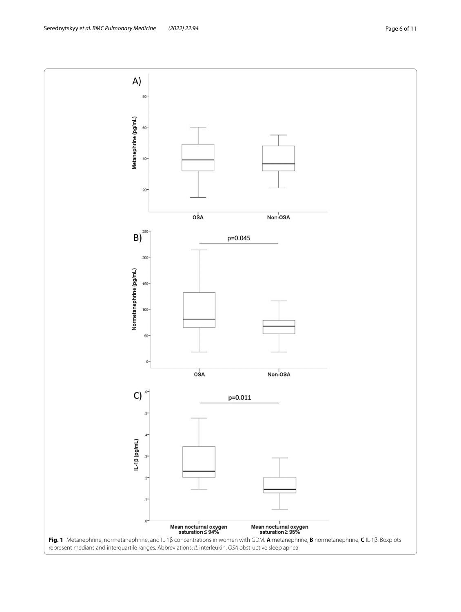<span id="page-5-0"></span>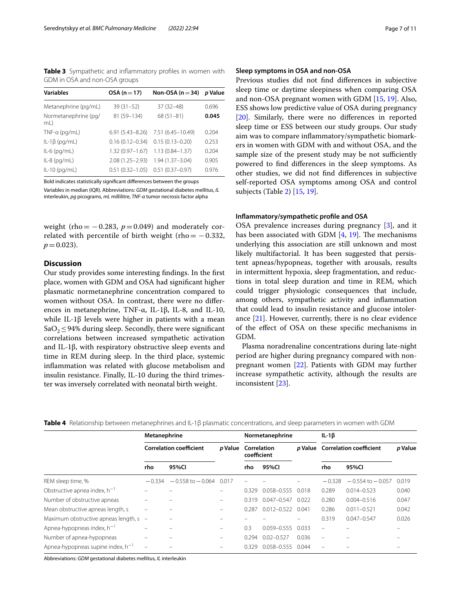<span id="page-6-0"></span>**Table 3** Sympathetic and inflammatory profiles in women with GDM in OSA and non-OSA groups

| <b>Variables</b>            | $OSA (n = 17)$      | Non-OSA $(n=34)$    | p Value |
|-----------------------------|---------------------|---------------------|---------|
| Metanephrine (pg/mL)        | $39(31-52)$         | 37 (32-48)          | 0.696   |
| Normetanephrine (pg/<br>mL) | 81 (59-134)         | $68(51 - 81)$       | 0.045   |
| $TNF-a$ (pg/mL)             | $6.91(5.43 - 8.26)$ | 7.51 (6.45-10.49)   | 0.204   |
| $IL-1\beta$ (pg/mL)         | $0.16(0.12 - 0.34)$ | $0.15(0.13 - 0.20)$ | 0.253   |
| $IL-6$ (pg/mL)              | $1.32(0.97 - 1.67)$ | $1.13(0.84 - 1.37)$ | 0.204   |
| $IL-8$ (pg/mL)              | $2.08(1.25 - 2.93)$ | 1.94 (1.37-3.04)    | 0.905   |
| $IL-10$ (pg/mL)             | $0.51(0.32 - 1.05)$ | $0.51(0.37 - 0.97)$ | 0.976   |
|                             |                     |                     |         |

Bold indicates statistically signifcant diferences between the groups

Variables in median (IQR). Abbreviations: *GDM* gestational diabetes mellitus, *IL* interleukin, *pg* picograms, *mL* millilitre, *TNF-α* tumor necrosis factor alpha

weight (rho =  $-0.283$ ,  $p = 0.049$ ) and moderately correlated with percentile of birth weight (rho=  $-0.332$ ,  $p=0.023$ ).

# **Discussion**

Our study provides some interesting fndings. In the frst place, women with GDM and OSA had signifcant higher plasmatic normetanephrine concentration compared to women without OSA. In contrast, there were no diferences in metanephrine, TNF-α, IL-1β, IL-8, and IL-10, while IL-1β levels were higher in patients with a mean Sa $O_2$ ≤94% during sleep. Secondly, there were significant correlations between increased sympathetic activation and IL-1β, with respiratory obstructive sleep events and time in REM during sleep. In the third place, systemic infammation was related with glucose metabolism and insulin resistance. Finally, IL-10 during the third trimester was inversely correlated with neonatal birth weight.

# **Sleep symptoms in OSA and non-OSA**

Previous studies did not fnd diferences in subjective sleep time or daytime sleepiness when comparing OSA and non-OSA pregnant women with GDM [[15,](#page-10-6) [19\]](#page-10-11). Also, ESS shows low predictive value of OSA during pregnancy [[20\]](#page-10-12). Similarly, there were no diferences in reported sleep time or ESS between our study groups. Our study aim was to compare infammatory/sympathetic biomarkers in women with GDM with and without OSA, and the sample size of the present study may be not sufficiently powered to fnd diferences in the sleep symptoms. As other studies, we did not fnd diferences in subjective self-reported OSA symptoms among OSA and control subjects (Table [2\)](#page-4-0) [[15](#page-10-6), [19\]](#page-10-11).

# **Infammatory/sympathetic profle and OSA**

OSA prevalence increases during pregnancy [\[3](#page-9-2)], and it has been associated with GDM  $[4, 19]$  $[4, 19]$  $[4, 19]$  $[4, 19]$ . The mechanisms underlying this association are still unknown and most likely multifactorial. It has been suggested that persistent apneas/hypopneas, together with arousals, results in intermittent hypoxia, sleep fragmentation, and reductions in total sleep duration and time in REM, which could trigger physiologic consequences that include, among others, sympathetic activity and infammation that could lead to insulin resistance and glucose intolerance [[21\]](#page-10-13). However, currently, there is no clear evidence of the efect of OSA on these specifc mechanisms in GDM.

Plasma noradrenaline concentrations during late-night period are higher during pregnancy compared with nonpregnant women [[22\]](#page-10-14). Patients with GDM may further increase sympathetic activity, although the results are inconsistent [[23\]](#page-10-15).

<span id="page-6-1"></span>

|  |  | <b>Table 4</b> Relationship between metanephrines and IL-1β plasmatic concentrations, and sleep parameters in women with GDM |  |  |  |  |  |
|--|--|------------------------------------------------------------------------------------------------------------------------------|--|--|--|--|--|
|--|--|------------------------------------------------------------------------------------------------------------------------------|--|--|--|--|--|

|                                               | Metanephrine                   |                      |                |                            | Normetanephrine |       | IL-1 $\beta$                           |                      |         |
|-----------------------------------------------|--------------------------------|----------------------|----------------|----------------------------|-----------------|-------|----------------------------------------|----------------------|---------|
|                                               | <b>Correlation coefficient</b> |                      | <i>p</i> Value | Correlation<br>coefficient |                 |       | <i>p</i> Value Correlation coefficient |                      | p Value |
|                                               | rho                            | 95%CI                |                | rho                        | 95%CI           |       | rho                                    | 95%Cl                |         |
| REM sleep time, %                             | $-0.334$                       | $-0.558$ to $-0.064$ | 0.017          |                            |                 |       | $-0.328$                               | $-0.554$ to $-0.057$ | 0.019   |
| Obstructive apnea index, $h^{-1}$             |                                |                      |                | 0.329                      | 0.058-0.555     | 0.018 | 0.289                                  | $0.014 - 0.523$      | 0.040   |
| Number of obstructive apneas                  |                                |                      |                | 0.319                      | $0.047 - 0.547$ | 0.022 | 0.280                                  | $0.004 - 0.516$      | 0.047   |
| Mean obstructive apneas length, s             |                                |                      |                | 0.287                      | $0.012 - 0.522$ | 0.041 | 0.286                                  | $0.011 - 0.521$      | 0.042   |
| Maximum obstructive apneas length, s -        |                                |                      |                |                            |                 |       | 0.319                                  | $0.047 - 0.547$      | 0.026   |
| Apnea-hypopneas index, $h^{-1}$               |                                |                      |                | 0.3                        | $0.059 - 0.555$ | 0.033 | $\qquad \qquad =$                      |                      |         |
| Number of apnea-hypopneas                     |                                |                      |                | 0.294                      | $0.02 - 0.527$  | 0.036 | -                                      |                      |         |
| Apnea-hypopneas supine index, h <sup>-1</sup> |                                |                      |                | 0.329                      | $0.058 - 0.555$ | 0.044 |                                        |                      |         |

Abbreviations: *GDM* gestational diabetes mellitus, *IL* interleukin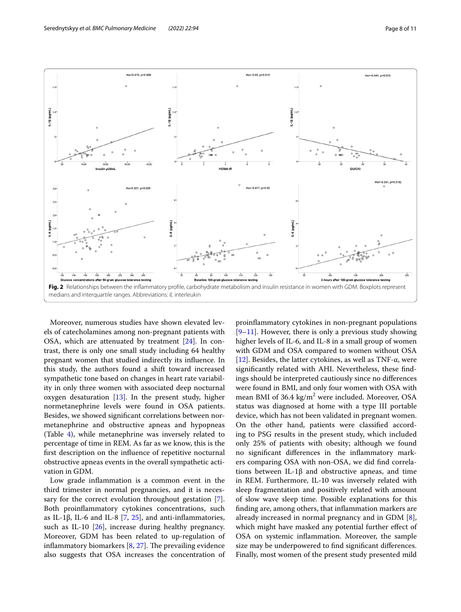

<span id="page-7-0"></span>Moreover, numerous studies have shown elevated levels of catecholamines among non-pregnant patients with OSA, which are attenuated by treatment [\[24](#page-10-16)]. In contrast, there is only one small study including 64 healthy pregnant women that studied indirectly its infuence. In this study, the authors found a shift toward increased sympathetic tone based on changes in heart rate variability in only three women with associated deep nocturnal oxygen desaturation  $[13]$  $[13]$ . In the present study, higher normetanephrine levels were found in OSA patients. Besides, we showed signifcant correlations between normetanephrine and obstructive apneas and hypopneas (Table [4\)](#page-6-1), while metanephrine was inversely related to percentage of time in REM. As far as we know, this is the frst description on the infuence of repetitive nocturnal obstructive apneas events in the overall sympathetic activation in GDM.

Low grade infammation is a common event in the third trimester in normal pregnancies, and it is neces-sary for the correct evolution throughout gestation [\[7](#page-9-6)]. Both proinfammatory cytokines concentrations, such as IL-1β, IL-6 and IL-8 [\[7](#page-9-6), [25\]](#page-10-17), and anti-inflammatories, such as IL-10 [[26](#page-10-18)], increase during healthy pregnancy. Moreover, GDM has been related to up-regulation of inflammatory biomarkers  $[8, 27]$  $[8, 27]$  $[8, 27]$  $[8, 27]$ . The prevailing evidence also suggests that OSA increases the concentration of

proinfammatory cytokines in non-pregnant populations [[9–](#page-10-1)[11\]](#page-10-2). However, there is only a previous study showing higher levels of IL-6, and IL-8 in a small group of women with GDM and OSA compared to women without OSA [[12\]](#page-10-3). Besides, the latter cytokines, as well as TNF- $\alpha$ , were signifcantly related with AHI. Nevertheless, these fndings should be interpreted cautiously since no diferences were found in BMI, and only four women with OSA with mean BMI of  $36.4 \text{ kg/m}^2$  were included. Moreover, OSA status was diagnosed at home with a type III portable device, which has not been validated in pregnant women. On the other hand, patients were classifed according to PSG results in the present study, which included only 25% of patients with obesity; although we found no signifcant diferences in the infammatory markers comparing OSA with non-OSA, we did fnd correlations between IL-1 $\beta$  and obstructive apneas, and time in REM. Furthermore, IL-10 was inversely related with sleep fragmentation and positively related with amount of slow wave sleep time. Possible explanations for this fnding are, among others, that infammation markers are already increased in normal pregnancy and in GDM [\[8](#page-10-0)], which might have masked any potential further efect of OSA on systemic infammation. Moreover, the sample size may be underpowered to fnd signifcant diferences. Finally, most women of the present study presented mild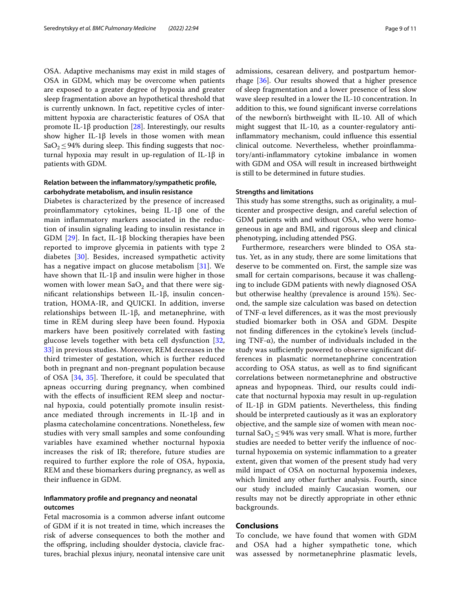OSA. Adaptive mechanisms may exist in mild stages of OSA in GDM, which may be overcome when patients are exposed to a greater degree of hypoxia and greater sleep fragmentation above an hypothetical threshold that is currently unknown. In fact, repetitive cycles of intermittent hypoxia are characteristic features of OSA that promote IL-1 $\beta$  production [\[28\]](#page-10-20). Interestingly, our results show higher IL-1β levels in those women with mean SaO<sub>2</sub> ≤ 94% during sleep. This finding suggests that nocturnal hypoxia may result in up-regulation of IL-1β in patients with GDM.

# **Relation between the infammatory/sympathetic profle, carbohydrate metabolism, and insulin resistance**

Diabetes is characterized by the presence of increased proinfammatory cytokines, being IL-1β one of the main infammatory markers associated in the reduction of insulin signaling leading to insulin resistance in GDM  $[29]$  $[29]$ . In fact, IL-1 $\beta$  blocking therapies have been reported to improve glycemia in patients with type 2 diabetes [\[30](#page-10-22)]. Besides, increased sympathetic activity has a negative impact on glucose metabolism [[31\]](#page-10-23). We have shown that IL-1β and insulin were higher in those women with lower mean  $SaO<sub>2</sub>$  and that there were signifcant relationships between IL-1β, insulin concentration, HOMA-IR, and QUICKI. In addition, inverse relationships between IL-1β, and metanephrine, with time in REM during sleep have been found. Hypoxia markers have been positively correlated with fasting glucose levels together with beta cell dysfunction [\[32](#page-10-24), [33\]](#page-10-25) in previous studies. Moreover, REM decreases in the third trimester of gestation, which is further reduced both in pregnant and non-pregnant population because of OSA  $[34, 35]$  $[34, 35]$  $[34, 35]$  $[34, 35]$ . Therefore, it could be speculated that apneas occurring during pregnancy, when combined with the effects of insufficient REM sleep and nocturnal hypoxia, could potentially promote insulin resistance mediated through increments in IL-1β and in plasma catecholamine concentrations. Nonetheless, few studies with very small samples and some confounding variables have examined whether nocturnal hypoxia increases the risk of IR; therefore, future studies are required to further explore the role of OSA, hypoxia, REM and these biomarkers during pregnancy, as well as their infuence in GDM.

# **Infammatory profle and pregnancy and neonatal outcomes**

Fetal macrosomia is a common adverse infant outcome of GDM if it is not treated in time, which increases the risk of adverse consequences to both the mother and the ofspring, including shoulder dystocia, clavicle fractures, brachial plexus injury, neonatal intensive care unit admissions, cesarean delivery, and postpartum hemorrhage [[36\]](#page-10-28). Our results showed that a higher presence of sleep fragmentation and a lower presence of less slow wave sleep resulted in a lower the IL-10 concentration. In addition to this, we found signifcant inverse correlations of the newborn's birthweight with IL-10. All of which might suggest that IL-10, as a counter-regulatory antiinfammatory mechanism, could infuence this essential clinical outcome. Nevertheless, whether proinfammatory/anti-infammatory cytokine imbalance in women with GDM and OSA will result in increased birthweight is still to be determined in future studies.

# **Strengths and limitations**

This study has some strengths, such as originality, a multicenter and prospective design, and careful selection of GDM patients with and without OSA, who were homogeneous in age and BMI, and rigorous sleep and clinical phenotyping, including attended PSG.

Furthermore, researchers were blinded to OSA status. Yet, as in any study, there are some limitations that deserve to be commented on. First, the sample size was small for certain comparisons, because it was challenging to include GDM patients with newly diagnosed OSA but otherwise healthy (prevalence is around 15%). Second, the sample size calculation was based on detection of TNF-α level diferences, as it was the most previously studied biomarker both in OSA and GDM. Despite not fnding diferences in the cytokine's levels (including TNF- $\alpha$ ), the number of individuals included in the study was sufficiently powered to observe significant differences in plasmatic normetanephrine concentration according to OSA status, as well as to fnd signifcant correlations between normetanephrine and obstructive apneas and hypopneas. Third, our results could indicate that nocturnal hypoxia may result in up-regulation of IL-1β in GDM patients. Nevertheless, this fnding should be interpreted cautiously as it was an exploratory objective, and the sample size of women with mean nocturnal Sa $O_2 \leq 94\%$  was very small. What is more, further studies are needed to better verify the infuence of nocturnal hypoxemia on systemic infammation to a greater extent, given that women of the present study had very mild impact of OSA on nocturnal hypoxemia indexes, which limited any other further analysis. Fourth, since our study included mainly Caucasian women, our results may not be directly appropriate in other ethnic backgrounds.

# **Conclusions**

To conclude, we have found that women with GDM and OSA had a higher sympathetic tone, which was assessed by normetanephrine plasmatic levels,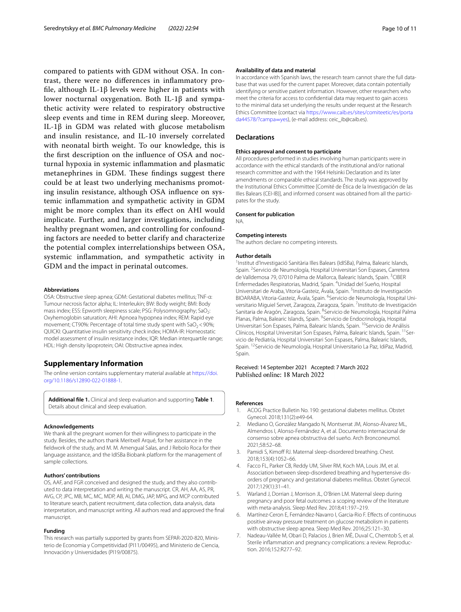compared to patients with GDM without OSA. In contrast, there were no diferences in infammatory profle, although IL-1β levels were higher in patients with lower nocturnal oxygenation. Both IL-1β and sympathetic activity were related to respiratory obstructive sleep events and time in REM during sleep. Moreover, IL-1β in GDM was related with glucose metabolism and insulin resistance, and IL-10 inversely correlated with neonatal birth weight. To our knowledge, this is the frst description on the infuence of OSA and nocturnal hypoxia in systemic infammation and plasmatic metanephrines in GDM. These findings suggest there could be at least two underlying mechanisms promoting insulin resistance, although OSA infuence on systemic infammation and sympathetic activity in GDM might be more complex than its efect on AHI would implicate. Further, and larger investigations, including healthy pregnant women, and controlling for confounding factors are needed to better clarify and characterize the potential complex interrelationships between OSA, systemic infammation, and sympathetic activity in GDM and the impact in perinatal outcomes.

#### **Abbreviations**

OSA: Obstructive sleep apnea; GDM: Gestational diabetes mellitus; TNF-α: Tumour necrosis factor alpha; IL: Interleukin; BW: Body weight; BMI: Body mass index; ESS: Epworth sleepiness scale; PSG: Polysomnography: SaO<sub>2</sub>: Oxyhemoglobin saturation; AHI: Apnoea hypopnea index; REM: Rapid eye movement; CT90%: Percentage of total time study spent with  $SaO<sub>2</sub>$ <90%; QUICKI: Quantitative insulin sensitivity check index; HOMA-IR: Homeostatic model assessment of insulin resistance index; IQR: Median interquartile range; HDL: High density lipoprotein; OAI: Obstructive apnea index.

# **Supplementary Information**

The online version contains supplementary material available at [https://doi.](https://doi.org/10.1186/s12890-022-01888-1) [org/10.1186/s12890-022-01888-1](https://doi.org/10.1186/s12890-022-01888-1).

<span id="page-9-7"></span>**Additional fle 1.** Clinical and sleep evaluation and supporting **Table 1**. Details about clinical and sleep evaluation.

#### **Acknowledgements**

We thank all the pregnant women for their willingness to participate in the study. Besides, the authors thank Meritxell Arqué, for her assistance in the feldwork of the study, and M. M. Amengual Salas, and J Rebolo Roca for their language assistance, and the IdISBa Biobank platform for the management of sample collections.

#### **Authors' contributions**

OS, AAF, and FGR conceived and designed the study, and they also contributed to data interpretation and writing the manuscript. CR, AH, AA, AS, PR, AVG, CP, JPC, MB, MC, MC, MDP, AB, AI, DMG, JAP, MPG, and MCP contributed to literature search, patient recruitment, data collection, data analysis, data interpretation, and manuscript writing. All authors read and approved the fnal manuscript.

#### **Funding**

This research was partially supported by grants from SEPAR-2020-820, Ministerio de Economia y Competitividad (PI11/00495), and Ministerio de Ciencia, Innovación y Universidades (PI19/00875).

#### **Availability of data and material**

In accordance with Spanish laws, the research team cannot share the full database that was used for the current paper. Moreover, data contain potentially identifying or sensitive patient information. However, other researchers who meet the criteria for access to confdential data may request to gain access to the minimal data set underlying the results under request at the Research Ethics Committee (contact via [https://www.caib.es/sites/comiteetic/es/porta](https://www.caib.es/sites/comiteetic/es/portada44578/?campa=yes) [da44578/?campa](https://www.caib.es/sites/comiteetic/es/portada44578/?campa=yes)=yes), (e-mail address: ceic\_ib@caib.es).

#### **Declarations**

#### **Ethics approval and consent to participate**

All procedures performed in studies involving human participants were in accordance with the ethical standards of the institutional and/or national research committee and with the 1964 Helsinki Declaration and its later amendments or comparable ethical standards. The study was approved by the Institutional Ethics Committee [Comité de Ética de la Investigación de las Illes Balears (CEI-IB)], and informed consent was obtained from all the participates for the study.

#### **Consent for publication**

NA.

#### **Competing interests**

The authors declare no competing interests.

#### **Author details**

<sup>1</sup> Institut d'Investigació Sanitària Illes Balears (IdISBa), Palma, Balearic Islands, Spain. <sup>2</sup> Servicio de Neumología, Hospital Universitari Son Espases, Carretera de Valldemosa 79, 07010 Palma de Mallorca, Balearic Islands, Spain. <sup>3</sup>CIBER Enfermedades Respiratorias, Madrid, Spain. <sup>4</sup>Unidad del Sueño, Hospital Universitari de Araba, Vitoria-Gasteiz, Ávala, Spain. <sup>5</sup>Instituto de Investigación BIOARABA, Vitoria-Gasteiz, Ávala, Spain. <sup>6</sup>Servicio de Neumología, Hospital Universitario Miguiel Servet, Zaragoza, Zaragoza, Spain. 7Instituto de Investigación Sanitaria de Aragón, Zaragoza, Spain. <sup>8</sup> Servicio de Neumología, Hospital Palma Planas, Palma, Balearic Islands, Spain. <sup>9</sup> Servicio de Endocrinología, Hospital Universitari Son Espases, Palma, Balearic Islands, Spain. <sup>10</sup>Servicio de Análisis Clínicos, Hospital Universitari Son Espases, Palma, Balearic Islands, Spain. <sup>11</sup>Servicio de Pediatría, Hospital Universitari Son Espases, Palma, Balearic Islands, Spain. <sup>12</sup> Servicio de Neumología, Hospital Universitario La Paz, IdiPaz, Madrid, Spain.

# Received: 14 September 2021 Accepted: 7 March 2022 Published online: 18 March 2022

#### **References**

- <span id="page-9-0"></span>1. ACOG Practice Bulletin No. 190: gestational diabetes mellitus. Obstet Gynecol. 2018;131(2):e49-64.
- <span id="page-9-1"></span>2. Mediano O, González Mangado N, Montserrat JM, Alonso-Álvarez ML, Almendros I, Alonso-Fernández A, et al. Documento internacional de consenso sobre apnea obstructiva del sueño. Arch Bronconeumol. 2021;58:52–68.
- <span id="page-9-2"></span>3. Pamidi S, Kimoff RJ. Maternal sleep-disordered breathing. Chest. 2018;153(4):1052–66.
- <span id="page-9-3"></span>4. Facco FL, Parker CB, Reddy UM, Silver RM, Koch MA, Louis JM, et al. Association between sleep-disordered breathing and hypertensive disorders of pregnancy and gestational diabetes mellitus. Obstet Gynecol. 2017;129(1):31–41.
- <span id="page-9-4"></span>5. Warland J, Dorrian J, Morrison JL, O'Brien LM. Maternal sleep during pregnancy and poor fetal outcomes: a scoping review of the literature with meta-analysis. Sleep Med Rev. 2018;41:197–219.
- <span id="page-9-5"></span>6. Martínez-Ceron E, Fernández-Navarro I, Garcia-Rio F. Efects of continuous positive airway pressure treatment on glucose metabolism in patients with obstructive sleep apnea. Sleep Med Rev. 2016;25:121–30.
- <span id="page-9-6"></span>7. Nadeau-Vallée M, Obari D, Palacios J, Brien MÈ, Duval C, Chemtob S, et al. Sterile inflammation and pregnancy complications: a review. Reproduction. 2016;152:R277–92.